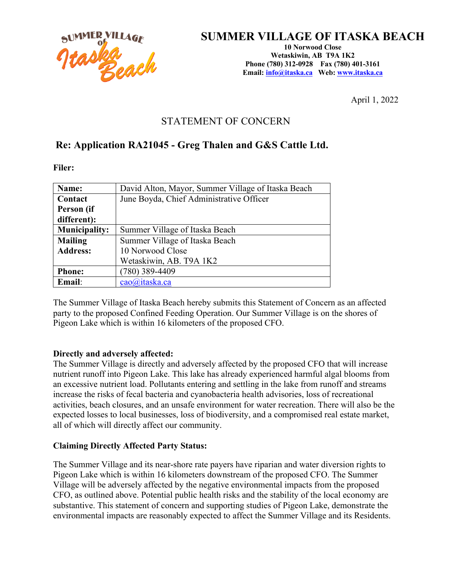

## **SUMMER VILLAGE OF ITASKA BEACH**

**10 Norwood Close Wetaskiwin, AB T9A 1K2 Phone (780) 312-0928 Fax (780) 401-3161 Email: info@itaska.ca Web: www.itaska.ca**

April 1, 2022

## STATEMENT OF CONCERN

### **Re: Application RA21045 - Greg Thalen and G&S Cattle Ltd.**

**Filer:**

| Name:                | David Alton, Mayor, Summer Village of Itaska Beach |
|----------------------|----------------------------------------------------|
| Contact              | June Boyda, Chief Administrative Officer           |
| Person (if           |                                                    |
| different):          |                                                    |
| <b>Municipality:</b> | Summer Village of Itaska Beach                     |
| <b>Mailing</b>       | Summer Village of Itaska Beach                     |
| <b>Address:</b>      | 10 Norwood Close                                   |
|                      | Wetaskiwin, AB. T9A 1K2                            |
| <b>Phone:</b>        | (780) 389-4409                                     |
| <b>Email:</b>        | cao@itaska.ca                                      |

The Summer Village of Itaska Beach hereby submits this Statement of Concern as an affected party to the proposed Confined Feeding Operation. Our Summer Village is on the shores of Pigeon Lake which is within 16 kilometers of the proposed CFO.

#### **Directly and adversely affected:**

The Summer Village is directly and adversely affected by the proposed CFO that will increase nutrient runoff into Pigeon Lake. This lake has already experienced harmful algal blooms from an excessive nutrient load. Pollutants entering and settling in the lake from runoff and streams increase the risks of fecal bacteria and cyanobacteria health advisories, loss of recreational activities, beach closures, and an unsafe environment for water recreation. There will also be the expected losses to local businesses, loss of biodiversity, and a compromised real estate market, all of which will directly affect our community.

#### **Claiming Directly Affected Party Status:**

The Summer Village and its near-shore rate payers have riparian and water diversion rights to Pigeon Lake which is within 16 kilometers downstream of the proposed CFO. The Summer Village will be adversely affected by the negative environmental impacts from the proposed CFO, as outlined above. Potential public health risks and the stability of the local economy are substantive. This statement of concern and supporting studies of Pigeon Lake, demonstrate the environmental impacts are reasonably expected to affect the Summer Village and its Residents.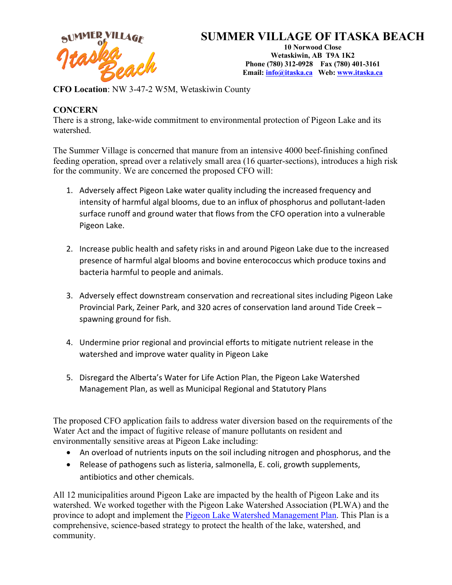

# **SUMMER VILLAGE OF ITASKA BEACH**

**10 Norwood Close Wetaskiwin, AB T9A 1K2 Phone (780) 312-0928 Fax (780) 401-3161 Email: info@itaska.ca Web: www.itaska.ca**

**CFO Location**: NW 3-47-2 W5M, Wetaskiwin County

### **CONCERN**

There is a strong, lake-wide commitment to environmental protection of Pigeon Lake and its watershed.

The Summer Village is concerned that manure from an intensive 4000 beef-finishing confined feeding operation, spread over a relatively small area (16 quarter-sections), introduces a high risk for the community. We are concerned the proposed CFO will:

- 1. Adversely affect Pigeon Lake water quality including the increased frequency and intensity of harmful algal blooms, due to an influx of phosphorus and pollutant-laden surface runoff and ground water that flows from the CFO operation into a vulnerable Pigeon Lake.
- 2. Increase public health and safety risks in and around Pigeon Lake due to the increased presence of harmful algal blooms and bovine enterococcus which produce toxins and bacteria harmful to people and animals.
- 3. Adversely effect downstream conservation and recreational sites including Pigeon Lake Provincial Park, Zeiner Park, and 320 acres of conservation land around Tide Creek – spawning ground for fish.
- 4. Undermine prior regional and provincial efforts to mitigate nutrient release in the watershed and improve water quality in Pigeon Lake
- 5. Disregard the Alberta's Water for Life Action Plan, the Pigeon Lake Watershed Management Plan, as well as Municipal Regional and Statutory Plans

The proposed CFO application fails to address water diversion based on the requirements of the Water Act and the impact of fugitive release of manure pollutants on resident and environmentally sensitive areas at Pigeon Lake including:

- An overload of nutrients inputs on the soil including nitrogen and phosphorus, and the
- Release of pathogens such as listeria, salmonella, E. coli, growth supplements, antibiotics and other chemicals.

All 12 municipalities around Pigeon Lake are impacted by the health of Pigeon Lake and its watershed. We worked together with the Pigeon Lake Watershed Association (PLWA) and the province to adopt and implement the Pigeon Lake Watershed Management Plan. This Plan is a comprehensive, science-based strategy to protect the health of the lake, watershed, and community.